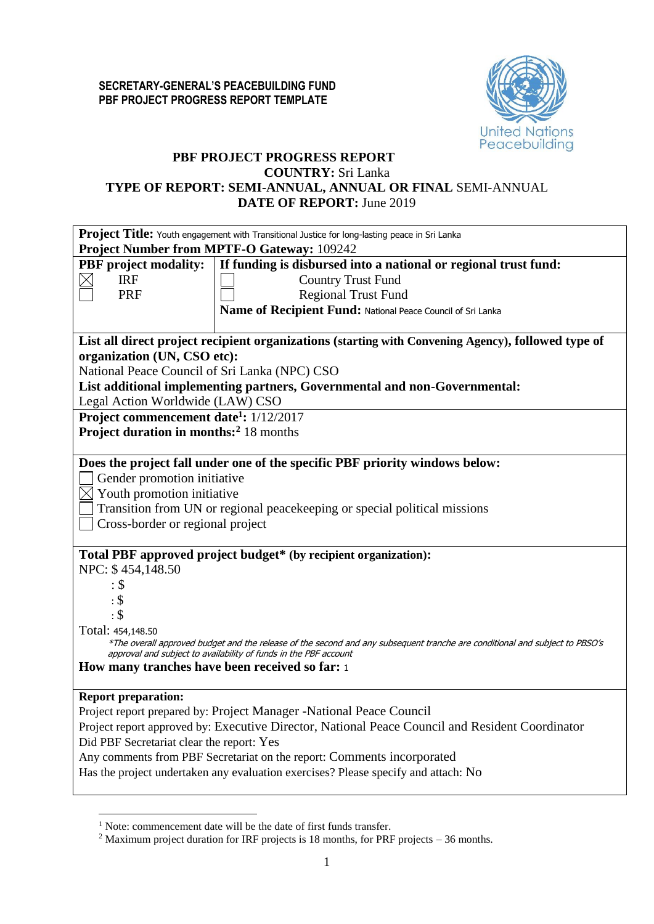

# **PBF PROJECT PROGRESS REPORT**

#### **COUNTRY:** Sri Lanka

**TYPE OF REPORT: SEMI-ANNUAL, ANNUAL OR FINAL** SEMI-ANNUAL **DATE OF REPORT:** June 2019

| Project Title: Youth engagement with Transitional Justice for long-lasting peace in Sri Lanka                                                                                                                                                                                                                                                                                                                     |  |  |  |  |  |  |  |
|-------------------------------------------------------------------------------------------------------------------------------------------------------------------------------------------------------------------------------------------------------------------------------------------------------------------------------------------------------------------------------------------------------------------|--|--|--|--|--|--|--|
| <b>Project Number from MPTF-O Gateway: 109242</b>                                                                                                                                                                                                                                                                                                                                                                 |  |  |  |  |  |  |  |
| <b>PBF</b> project modality:<br>If funding is disbursed into a national or regional trust fund:<br><b>Country Trust Fund</b><br><b>IRF</b><br><b>PRF</b><br><b>Regional Trust Fund</b>                                                                                                                                                                                                                            |  |  |  |  |  |  |  |
| Name of Recipient Fund: National Peace Council of Sri Lanka                                                                                                                                                                                                                                                                                                                                                       |  |  |  |  |  |  |  |
| List all direct project recipient organizations (starting with Convening Agency), followed type of<br>organization (UN, CSO etc):<br>National Peace Council of Sri Lanka (NPC) CSO<br>List additional implementing partners, Governmental and non-Governmental:<br>Legal Action Worldwide (LAW) CSO<br>Project commencement date <sup>1</sup> : 1/12/2017                                                         |  |  |  |  |  |  |  |
| Project duration in months: <sup>2</sup> 18 months                                                                                                                                                                                                                                                                                                                                                                |  |  |  |  |  |  |  |
| Does the project fall under one of the specific PBF priority windows below:<br>Gender promotion initiative<br>$\boxtimes$ Youth promotion initiative<br>Transition from UN or regional peacekeeping or special political missions<br>Cross-border or regional project                                                                                                                                             |  |  |  |  |  |  |  |
| Total PBF approved project budget* (by recipient organization):<br>NPC: \$454,148.50<br>: \$<br>$\cdot$ \$<br>$\cdot$ \$<br>Total: 454,148.50<br>*The overall approved budget and the release of the second and any subsequent tranche are conditional and subject to PBSO's<br>approval and subject to availability of funds in the PBF account<br>How many tranches have been received so far: 1                |  |  |  |  |  |  |  |
| <b>Report preparation:</b><br>Project report prepared by: Project Manager -National Peace Council<br>Project report approved by: Executive Director, National Peace Council and Resident Coordinator<br>Did PBF Secretariat clear the report: Yes<br>Any comments from PBF Secretariat on the report: Comments incorporated<br>Has the project undertaken any evaluation exercises? Please specify and attach: No |  |  |  |  |  |  |  |

<u>.</u>

<sup>&</sup>lt;sup>1</sup> Note: commencement date will be the date of first funds transfer.

<sup>&</sup>lt;sup>2</sup> Maximum project duration for IRF projects is 18 months, for PRF projects – 36 months.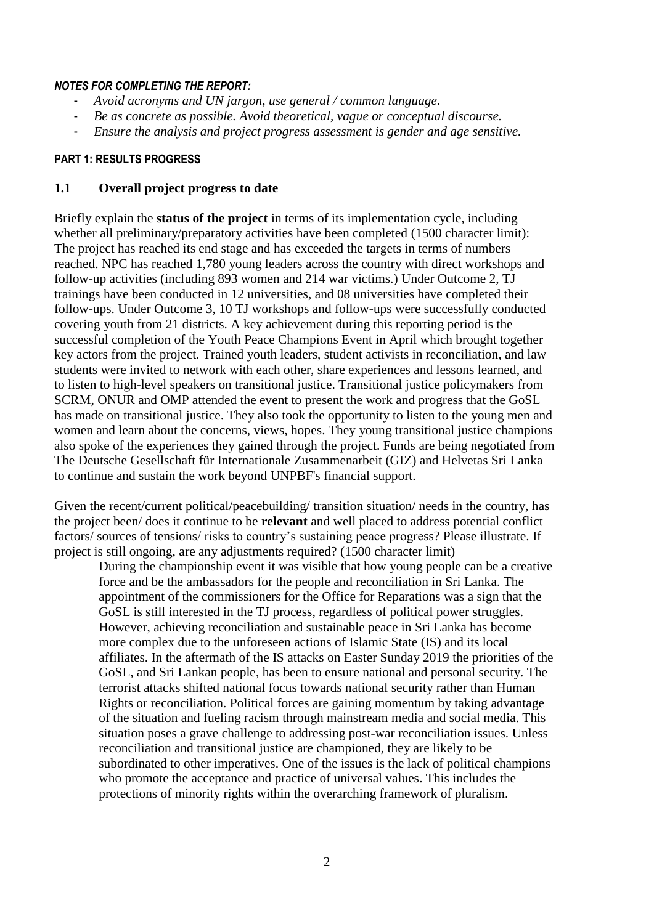### *NOTES FOR COMPLETING THE REPORT:*

- *Avoid acronyms and UN jargon, use general / common language.*
- *Be as concrete as possible. Avoid theoretical, vague or conceptual discourse.*
- *Ensure the analysis and project progress assessment is gender and age sensitive.*

# **PART 1: RESULTS PROGRESS**

### **1.1 Overall project progress to date**

Briefly explain the **status of the project** in terms of its implementation cycle, including whether all preliminary/preparatory activities have been completed (1500 character limit): The project has reached its end stage and has exceeded the targets in terms of numbers reached. NPC has reached 1,780 young leaders across the country with direct workshops and follow-up activities (including 893 women and 214 war victims.) Under Outcome 2, TJ trainings have been conducted in 12 universities, and 08 universities have completed their follow-ups. Under Outcome 3, 10 TJ workshops and follow-ups were successfully conducted covering youth from 21 districts. A key achievement during this reporting period is the successful completion of the Youth Peace Champions Event in April which brought together key actors from the project. Trained youth leaders, student activists in reconciliation, and law students were invited to network with each other, share experiences and lessons learned, and to listen to high-level speakers on transitional justice. Transitional justice policymakers from SCRM, ONUR and OMP attended the event to present the work and progress that the GoSL has made on transitional justice. They also took the opportunity to listen to the young men and women and learn about the concerns, views, hopes. They young transitional justice champions also spoke of the experiences they gained through the project. Funds are being negotiated from The Deutsche Gesellschaft für Internationale Zusammenarbeit (GIZ) and Helvetas Sri Lanka to continue and sustain the work beyond UNPBF's financial support.

Given the recent/current political/peacebuilding/ transition situation/ needs in the country, has the project been/ does it continue to be **relevant** and well placed to address potential conflict factors/ sources of tensions/ risks to country's sustaining peace progress? Please illustrate. If project is still ongoing, are any adjustments required? (1500 character limit)

During the championship event it was visible that how young people can be a creative force and be the ambassadors for the people and reconciliation in Sri Lanka. The appointment of the commissioners for the Office for Reparations was a sign that the GoSL is still interested in the TJ process, regardless of political power struggles. However, achieving reconciliation and sustainable peace in Sri Lanka has become more complex due to the unforeseen actions of Islamic State (IS) and its local affiliates. In the aftermath of the IS attacks on Easter Sunday 2019 the priorities of the GoSL, and Sri Lankan people, has been to ensure national and personal security. The terrorist attacks shifted national focus towards national security rather than Human Rights or reconciliation. Political forces are gaining momentum by taking advantage of the situation and fueling racism through mainstream media and social media. This situation poses a grave challenge to addressing post-war reconciliation issues. Unless reconciliation and transitional justice are championed, they are likely to be subordinated to other imperatives. One of the issues is the lack of political champions who promote the acceptance and practice of universal values. This includes the protections of minority rights within the overarching framework of pluralism.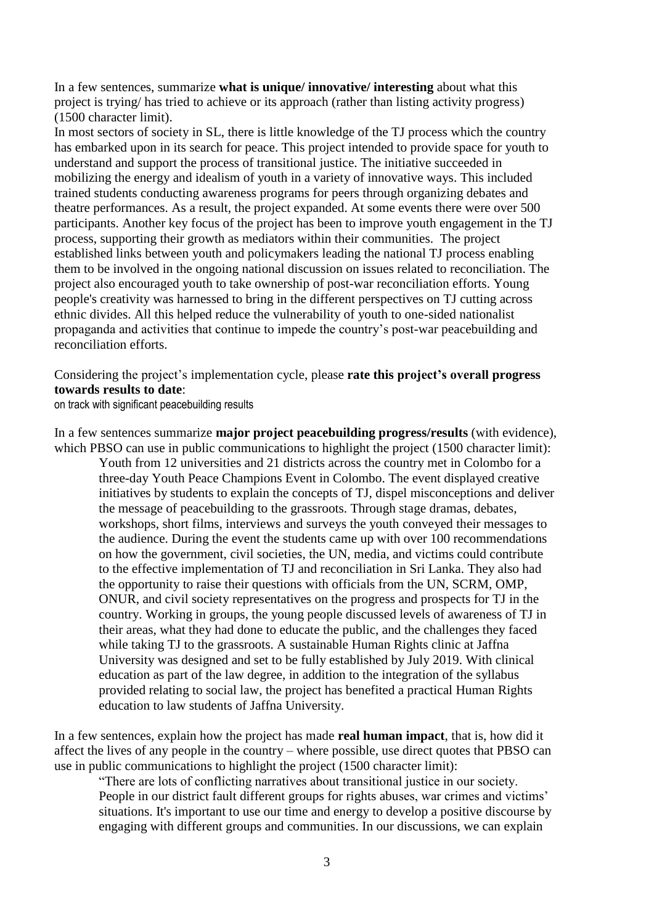In a few sentences, summarize **what is unique/ innovative/ interesting** about what this project is trying/ has tried to achieve or its approach (rather than listing activity progress) (1500 character limit).

In most sectors of society in SL, there is little knowledge of the TJ process which the country has embarked upon in its search for peace. This project intended to provide space for youth to understand and support the process of transitional justice. The initiative succeeded in mobilizing the energy and idealism of youth in a variety of innovative ways. This included trained students conducting awareness programs for peers through organizing debates and theatre performances. As a result, the project expanded. At some events there were over 500 participants. Another key focus of the project has been to improve youth engagement in the TJ process, supporting their growth as mediators within their communities. The project established links between youth and policymakers leading the national TJ process enabling them to be involved in the ongoing national discussion on issues related to reconciliation. The project also encouraged youth to take ownership of post-war reconciliation efforts. Young people's creativity was harnessed to bring in the different perspectives on TJ cutting across ethnic divides. All this helped reduce the vulnerability of youth to one-sided nationalist propaganda and activities that continue to impede the country's post-war peacebuilding and reconciliation efforts.

Considering the project's implementation cycle, please **rate this project's overall progress towards results to date**:

on track with significant peacebuilding results

In a few sentences summarize **major project peacebuilding progress/results** (with evidence), which PBSO can use in public communications to highlight the project (1500 character limit):

Youth from 12 universities and 21 districts across the country met in Colombo for a three-day Youth Peace Champions Event in Colombo. The event displayed creative initiatives by students to explain the concepts of TJ, dispel misconceptions and deliver the message of peacebuilding to the grassroots. Through stage dramas, debates, workshops, short films, interviews and surveys the youth conveyed their messages to the audience. During the event the students came up with over 100 recommendations on how the government, civil societies, the UN, media, and victims could contribute to the effective implementation of TJ and reconciliation in Sri Lanka. They also had the opportunity to raise their questions with officials from the UN, SCRM, OMP, ONUR, and civil society representatives on the progress and prospects for TJ in the country. Working in groups, the young people discussed levels of awareness of TJ in their areas, what they had done to educate the public, and the challenges they faced while taking TJ to the grassroots. A sustainable Human Rights clinic at Jaffna University was designed and set to be fully established by July 2019. With clinical education as part of the law degree, in addition to the integration of the syllabus provided relating to social law, the project has benefited a practical Human Rights education to law students of Jaffna University.

In a few sentences, explain how the project has made **real human impact**, that is, how did it affect the lives of any people in the country – where possible, use direct quotes that PBSO can use in public communications to highlight the project (1500 character limit):

"There are lots of conflicting narratives about transitional justice in our society. People in our district fault different groups for rights abuses, war crimes and victims' situations. It's important to use our time and energy to develop a positive discourse by engaging with different groups and communities. In our discussions, we can explain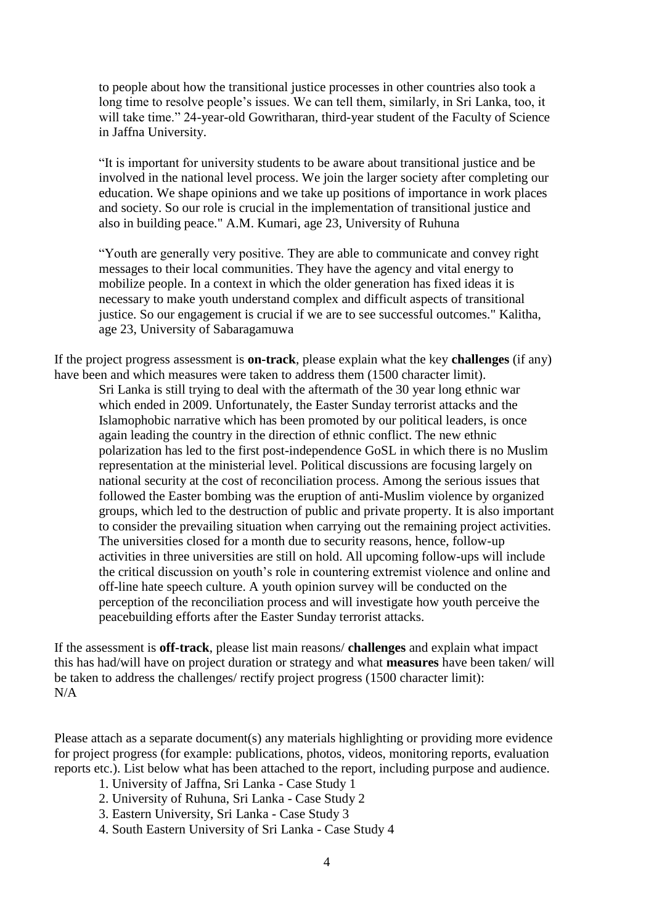to people about how the transitional justice processes in other countries also took a long time to resolve people's issues. We can tell them, similarly, in Sri Lanka, too, it will take time." 24-year-old Gowritharan, third-year student of the Faculty of Science in Jaffna University.

"It is important for university students to be aware about transitional justice and be involved in the national level process. We join the larger society after completing our education. We shape opinions and we take up positions of importance in work places and society. So our role is crucial in the implementation of transitional justice and also in building peace." A.M. Kumari, age 23, University of Ruhuna

"Youth are generally very positive. They are able to communicate and convey right messages to their local communities. They have the agency and vital energy to mobilize people. In a context in which the older generation has fixed ideas it is necessary to make youth understand complex and difficult aspects of transitional justice. So our engagement is crucial if we are to see successful outcomes." Kalitha, age 23, University of Sabaragamuwa

If the project progress assessment is **on-track**, please explain what the key **challenges** (if any) have been and which measures were taken to address them (1500 character limit).

Sri Lanka is still trying to deal with the aftermath of the 30 year long ethnic war which ended in 2009. Unfortunately, the Easter Sunday terrorist attacks and the Islamophobic narrative which has been promoted by our political leaders, is once again leading the country in the direction of ethnic conflict. The new ethnic polarization has led to the first post-independence GoSL in which there is no Muslim representation at the ministerial level. Political discussions are focusing largely on national security at the cost of reconciliation process. Among the serious issues that followed the Easter bombing was the eruption of anti-Muslim violence by organized groups, which led to the destruction of public and private property. It is also important to consider the prevailing situation when carrying out the remaining project activities. The universities closed for a month due to security reasons, hence, follow-up activities in three universities are still on hold. All upcoming follow-ups will include the critical discussion on youth's role in countering extremist violence and online and off-line hate speech culture. A youth opinion survey will be conducted on the perception of the reconciliation process and will investigate how youth perceive the peacebuilding efforts after the Easter Sunday terrorist attacks.

If the assessment is **off-track**, please list main reasons/ **challenges** and explain what impact this has had/will have on project duration or strategy and what **measures** have been taken/ will be taken to address the challenges/ rectify project progress (1500 character limit): N/A

Please attach as a separate document(s) any materials highlighting or providing more evidence for project progress (for example: publications, photos, videos, monitoring reports, evaluation reports etc.). List below what has been attached to the report, including purpose and audience.

- 1. University of Jaffna, Sri Lanka Case Study 1
- 2. University of Ruhuna, Sri Lanka Case Study 2
- 3. Eastern University, Sri Lanka Case Study 3
- 4. South Eastern University of Sri Lanka Case Study 4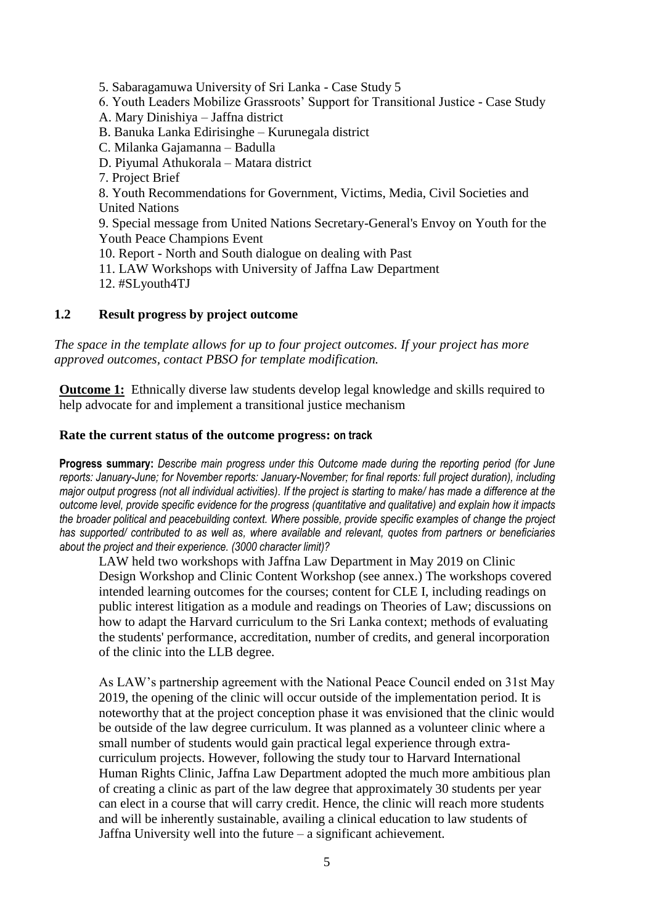5. Sabaragamuwa University of Sri Lanka - Case Study 5 6. Youth Leaders Mobilize Grassroots' Support for Transitional Justice - Case Study A. Mary Dinishiya – Jaffna district B. Banuka Lanka Edirisinghe – Kurunegala district C. Milanka Gajamanna – Badulla D. Piyumal Athukorala – Matara district 7. Project Brief 8. Youth Recommendations for Government, Victims, Media, Civil Societies and United Nations 9. Special message from United Nations Secretary-General's Envoy on Youth for the Youth Peace Champions Event 10. Report - North and South dialogue on dealing with Past 11. LAW Workshops with University of Jaffna Law Department

12. #SLyouth4TJ

# **1.2 Result progress by project outcome**

*The space in the template allows for up to four project outcomes. If your project has more approved outcomes, contact PBSO for template modification.*

**Outcome 1:** Ethnically diverse law students develop legal knowledge and skills required to help advocate for and implement a transitional justice mechanism

### **Rate the current status of the outcome progress: on track**

**Progress summary:** *Describe main progress under this Outcome made during the reporting period (for June reports: January-June; for November reports: January-November; for final reports: full project duration), including major output progress (not all individual activities). If the project is starting to make/ has made a difference at the outcome level, provide specific evidence for the progress (quantitative and qualitative) and explain how it impacts the broader political and peacebuilding context. Where possible, provide specific examples of change the project has supported/ contributed to as well as, where available and relevant, quotes from partners or beneficiaries about the project and their experience. (3000 character limit)?* 

LAW held two workshops with Jaffna Law Department in May 2019 on Clinic Design Workshop and Clinic Content Workshop (see annex.) The workshops covered intended learning outcomes for the courses; content for CLE I, including readings on public interest litigation as a module and readings on Theories of Law; discussions on how to adapt the Harvard curriculum to the Sri Lanka context; methods of evaluating the students' performance, accreditation, number of credits, and general incorporation of the clinic into the LLB degree.

As LAW's partnership agreement with the National Peace Council ended on 31st May 2019, the opening of the clinic will occur outside of the implementation period. It is noteworthy that at the project conception phase it was envisioned that the clinic would be outside of the law degree curriculum. It was planned as a volunteer clinic where a small number of students would gain practical legal experience through extracurriculum projects. However, following the study tour to Harvard International Human Rights Clinic, Jaffna Law Department adopted the much more ambitious plan of creating a clinic as part of the law degree that approximately 30 students per year can elect in a course that will carry credit. Hence, the clinic will reach more students and will be inherently sustainable, availing a clinical education to law students of Jaffna University well into the future – a significant achievement.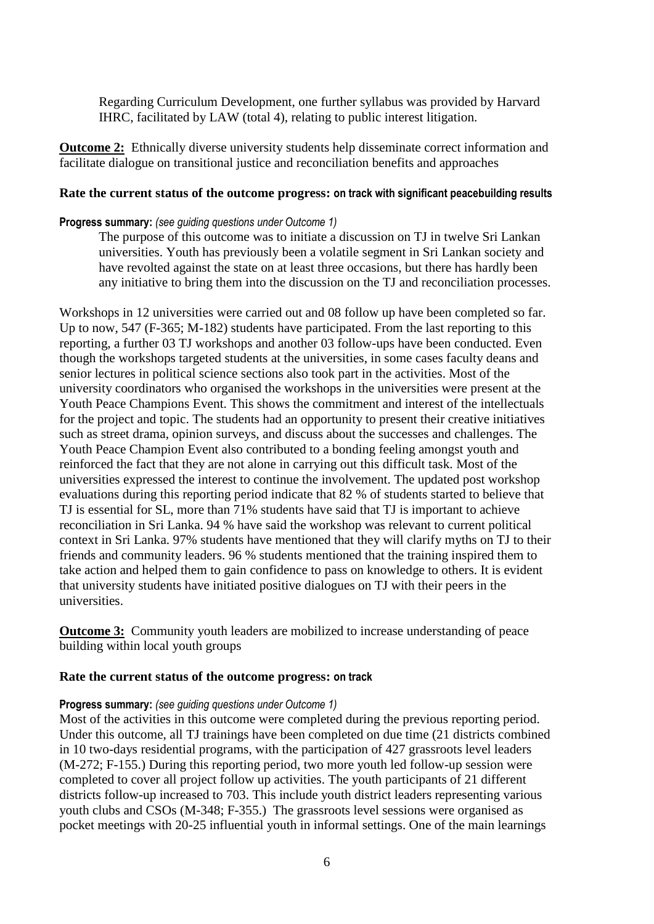Regarding Curriculum Development, one further syllabus was provided by Harvard IHRC, facilitated by LAW (total 4), relating to public interest litigation.

**Outcome 2:** Ethnically diverse university students help disseminate correct information and facilitate dialogue on transitional justice and reconciliation benefits and approaches

### **Rate the current status of the outcome progress: on track with significant peacebuilding results**

#### **Progress summary:** *(see guiding questions under Outcome 1)*

The purpose of this outcome was to initiate a discussion on TJ in twelve Sri Lankan universities. Youth has previously been a volatile segment in Sri Lankan society and have revolted against the state on at least three occasions, but there has hardly been any initiative to bring them into the discussion on the TJ and reconciliation processes.

Workshops in 12 universities were carried out and 08 follow up have been completed so far. Up to now, 547 (F-365; M-182) students have participated. From the last reporting to this reporting, a further 03 TJ workshops and another 03 follow-ups have been conducted. Even though the workshops targeted students at the universities, in some cases faculty deans and senior lectures in political science sections also took part in the activities. Most of the university coordinators who organised the workshops in the universities were present at the Youth Peace Champions Event. This shows the commitment and interest of the intellectuals for the project and topic. The students had an opportunity to present their creative initiatives such as street drama, opinion surveys, and discuss about the successes and challenges. The Youth Peace Champion Event also contributed to a bonding feeling amongst youth and reinforced the fact that they are not alone in carrying out this difficult task. Most of the universities expressed the interest to continue the involvement. The updated post workshop evaluations during this reporting period indicate that 82 % of students started to believe that TJ is essential for SL, more than 71% students have said that TJ is important to achieve reconciliation in Sri Lanka. 94 % have said the workshop was relevant to current political context in Sri Lanka. 97% students have mentioned that they will clarify myths on TJ to their friends and community leaders. 96 % students mentioned that the training inspired them to take action and helped them to gain confidence to pass on knowledge to others. It is evident that university students have initiated positive dialogues on TJ with their peers in the universities.

**Outcome 3:** Community youth leaders are mobilized to increase understanding of peace building within local youth groups

#### **Rate the current status of the outcome progress: on track**

#### **Progress summary:** *(see guiding questions under Outcome 1)*

Most of the activities in this outcome were completed during the previous reporting period. Under this outcome, all TJ trainings have been completed on due time (21 districts combined in 10 two-days residential programs, with the participation of 427 grassroots level leaders (M-272; F-155.) During this reporting period, two more youth led follow-up session were completed to cover all project follow up activities. The youth participants of 21 different districts follow-up increased to 703. This include youth district leaders representing various youth clubs and CSOs (M-348; F-355.) The grassroots level sessions were organised as pocket meetings with 20-25 influential youth in informal settings. One of the main learnings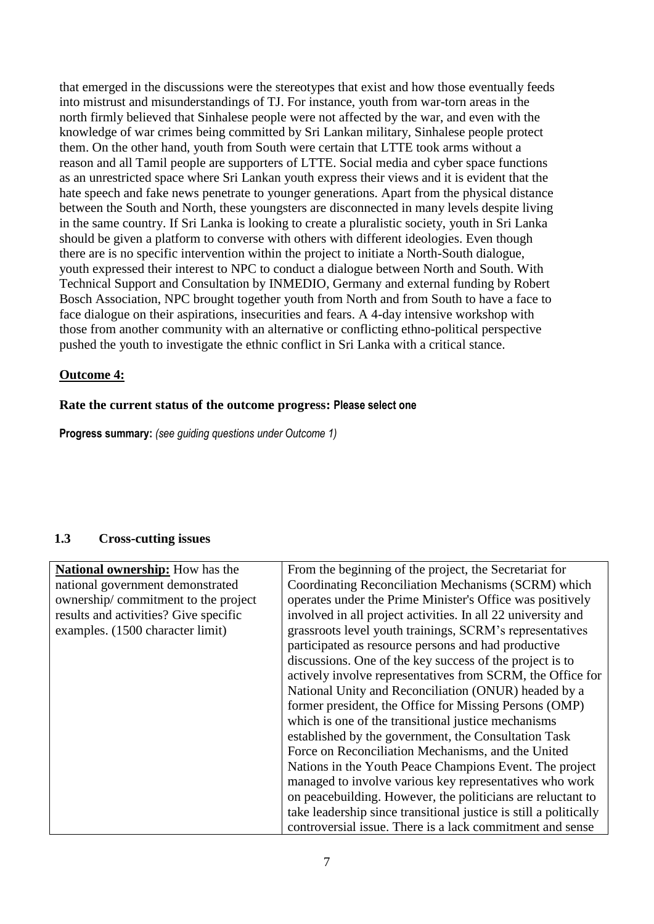that emerged in the discussions were the stereotypes that exist and how those eventually feeds into mistrust and misunderstandings of TJ. For instance, youth from war-torn areas in the north firmly believed that Sinhalese people were not affected by the war, and even with the knowledge of war crimes being committed by Sri Lankan military, Sinhalese people protect them. On the other hand, youth from South were certain that LTTE took arms without a reason and all Tamil people are supporters of LTTE. Social media and cyber space functions as an unrestricted space where Sri Lankan youth express their views and it is evident that the hate speech and fake news penetrate to younger generations. Apart from the physical distance between the South and North, these youngsters are disconnected in many levels despite living in the same country. If Sri Lanka is looking to create a pluralistic society, youth in Sri Lanka should be given a platform to converse with others with different ideologies. Even though there are is no specific intervention within the project to initiate a North-South dialogue, youth expressed their interest to NPC to conduct a dialogue between North and South. With Technical Support and Consultation by INMEDIO, Germany and external funding by Robert Bosch Association, NPC brought together youth from North and from South to have a face to face dialogue on their aspirations, insecurities and fears. A 4-day intensive workshop with those from another community with an alternative or conflicting ethno-political perspective pushed the youth to investigate the ethnic conflict in Sri Lanka with a critical stance.

# **Outcome 4:**

# **Rate the current status of the outcome progress: Please select one**

**Progress summary:** *(see guiding questions under Outcome 1)* 

# **1.3 Cross-cutting issues**

| <b>National ownership:</b> How has the | From the beginning of the project, the Secretariat for            |
|----------------------------------------|-------------------------------------------------------------------|
| national government demonstrated       | Coordinating Reconciliation Mechanisms (SCRM) which               |
| ownership/commitment to the project    | operates under the Prime Minister's Office was positively         |
| results and activities? Give specific  | involved in all project activities. In all 22 university and      |
| examples. (1500 character limit)       | grassroots level youth trainings, SCRM's representatives          |
|                                        | participated as resource persons and had productive               |
|                                        | discussions. One of the key success of the project is to          |
|                                        | actively involve representatives from SCRM, the Office for        |
|                                        | National Unity and Reconciliation (ONUR) headed by a              |
|                                        | former president, the Office for Missing Persons (OMP)            |
|                                        | which is one of the transitional justice mechanisms               |
|                                        | established by the government, the Consultation Task              |
|                                        | Force on Reconciliation Mechanisms, and the United                |
|                                        | Nations in the Youth Peace Champions Event. The project           |
|                                        | managed to involve various key representatives who work           |
|                                        | on peacebuilding. However, the politicians are reluctant to       |
|                                        | take leadership since transitional justice is still a politically |
|                                        | controversial issue. There is a lack commitment and sense         |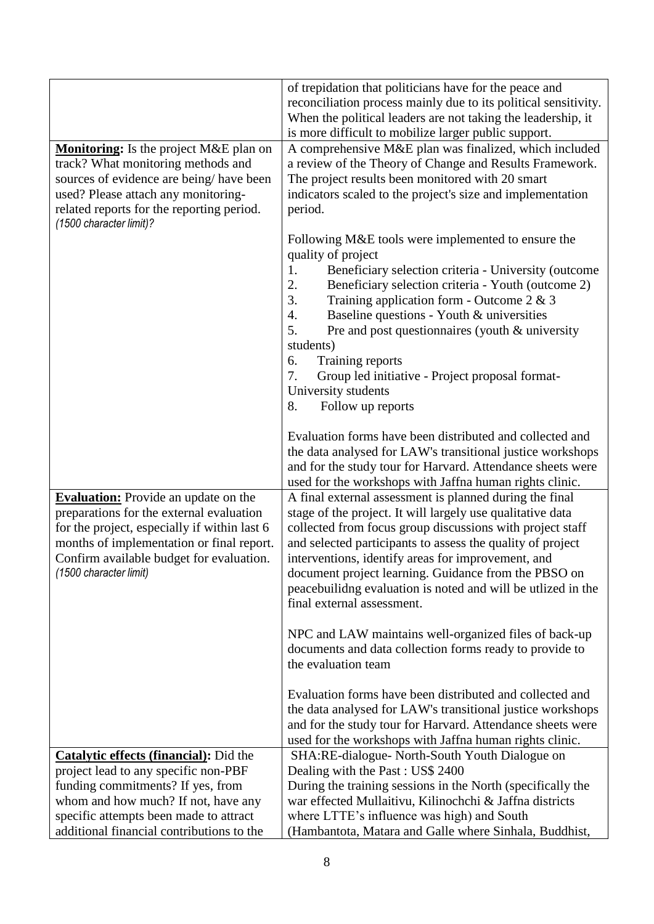| Monitoring: Is the project M&E plan on<br>track? What monitoring methods and<br>sources of evidence are being/have been<br>used? Please attach any monitoring-<br>related reports for the reporting period.<br>(1500 character limit)?                     | of trepidation that politicians have for the peace and<br>reconciliation process mainly due to its political sensitivity.<br>When the political leaders are not taking the leadership, it<br>is more difficult to mobilize larger public support.<br>A comprehensive M&E plan was finalized, which included<br>a review of the Theory of Change and Results Framework.<br>The project results been monitored with 20 smart<br>indicators scaled to the project's size and implementation<br>period. |
|------------------------------------------------------------------------------------------------------------------------------------------------------------------------------------------------------------------------------------------------------------|-----------------------------------------------------------------------------------------------------------------------------------------------------------------------------------------------------------------------------------------------------------------------------------------------------------------------------------------------------------------------------------------------------------------------------------------------------------------------------------------------------|
|                                                                                                                                                                                                                                                            | Following M&E tools were implemented to ensure the<br>quality of project<br>Beneficiary selection criteria - University (outcome<br>1.<br>2.<br>Beneficiary selection criteria - Youth (outcome 2)<br>3.<br>Training application form - Outcome $2 & 3$<br>Baseline questions - Youth & universities<br>4.<br>Pre and post questionnaires (youth & university<br>5.<br>students)<br>6.<br>Training reports<br>7.<br>Group led initiative - Project proposal format-<br>University students          |
|                                                                                                                                                                                                                                                            | Follow up reports<br>8.<br>Evaluation forms have been distributed and collected and<br>the data analysed for LAW's transitional justice workshops<br>and for the study tour for Harvard. Attendance sheets were<br>used for the workshops with Jaffna human rights clinic.                                                                                                                                                                                                                          |
| <b>Evaluation:</b> Provide an update on the<br>preparations for the external evaluation<br>for the project, especially if within last 6<br>months of implementation or final report.<br>Confirm available budget for evaluation.<br>(1500 character limit) | A final external assessment is planned during the final<br>stage of the project. It will largely use qualitative data<br>collected from focus group discussions with project staff<br>and selected participants to assess the quality of project<br>interventions, identify areas for improvement, and<br>document project learning. Guidance from the PBSO on<br>peacebuilidng evaluation is noted and will be utlized in the<br>final external assessment.                                        |
|                                                                                                                                                                                                                                                            | NPC and LAW maintains well-organized files of back-up<br>documents and data collection forms ready to provide to<br>the evaluation team                                                                                                                                                                                                                                                                                                                                                             |
|                                                                                                                                                                                                                                                            | Evaluation forms have been distributed and collected and<br>the data analysed for LAW's transitional justice workshops<br>and for the study tour for Harvard. Attendance sheets were<br>used for the workshops with Jaffna human rights clinic.                                                                                                                                                                                                                                                     |
| <b>Catalytic effects (financial):</b> Did the                                                                                                                                                                                                              | SHA:RE-dialogue- North-South Youth Dialogue on                                                                                                                                                                                                                                                                                                                                                                                                                                                      |
| project lead to any specific non-PBF                                                                                                                                                                                                                       | Dealing with the Past: US\$ 2400                                                                                                                                                                                                                                                                                                                                                                                                                                                                    |
| funding commitments? If yes, from                                                                                                                                                                                                                          | During the training sessions in the North (specifically the                                                                                                                                                                                                                                                                                                                                                                                                                                         |
| whom and how much? If not, have any<br>specific attempts been made to attract                                                                                                                                                                              | war effected Mullaitivu, Kilinochchi & Jaffna districts<br>where LTTE's influence was high) and South                                                                                                                                                                                                                                                                                                                                                                                               |
| additional financial contributions to the                                                                                                                                                                                                                  | (Hambantota, Matara and Galle where Sinhala, Buddhist,                                                                                                                                                                                                                                                                                                                                                                                                                                              |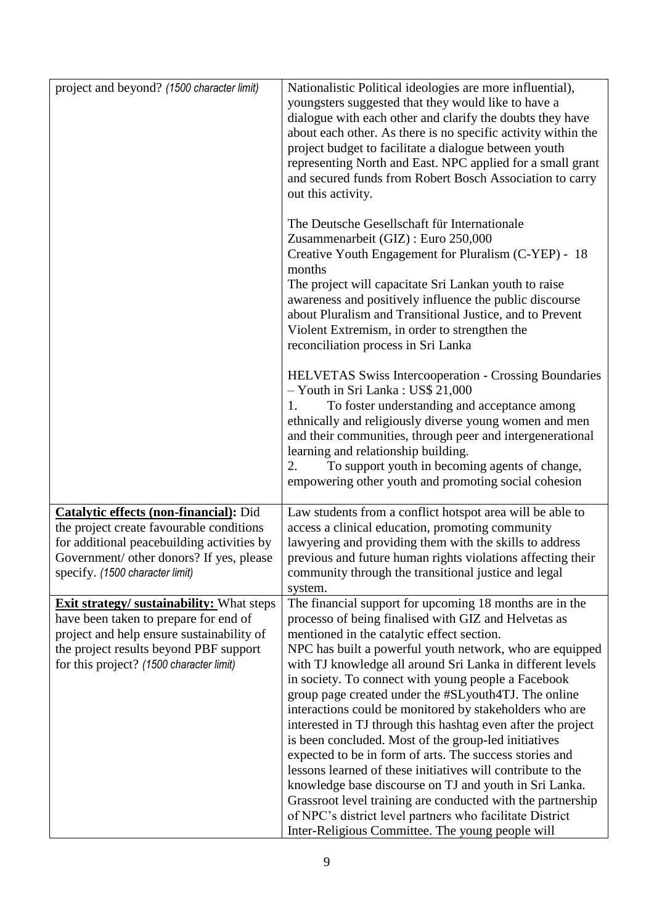| project and beyond? (1500 character limit)                                                                                                                                                                                   | Nationalistic Political ideologies are more influential),<br>youngsters suggested that they would like to have a<br>dialogue with each other and clarify the doubts they have<br>about each other. As there is no specific activity within the<br>project budget to facilitate a dialogue between youth<br>representing North and East. NPC applied for a small grant<br>and secured funds from Robert Bosch Association to carry<br>out this activity.                                                                                                                                                                                                                                                                                                                                                                                                                                                                                                      |
|------------------------------------------------------------------------------------------------------------------------------------------------------------------------------------------------------------------------------|--------------------------------------------------------------------------------------------------------------------------------------------------------------------------------------------------------------------------------------------------------------------------------------------------------------------------------------------------------------------------------------------------------------------------------------------------------------------------------------------------------------------------------------------------------------------------------------------------------------------------------------------------------------------------------------------------------------------------------------------------------------------------------------------------------------------------------------------------------------------------------------------------------------------------------------------------------------|
|                                                                                                                                                                                                                              | The Deutsche Gesellschaft für Internationale<br>Zusammenarbeit (GIZ) : Euro 250,000<br>Creative Youth Engagement for Pluralism (C-YEP) - 18<br>months<br>The project will capacitate Sri Lankan youth to raise<br>awareness and positively influence the public discourse<br>about Pluralism and Transitional Justice, and to Prevent<br>Violent Extremism, in order to strengthen the<br>reconciliation process in Sri Lanka                                                                                                                                                                                                                                                                                                                                                                                                                                                                                                                                |
|                                                                                                                                                                                                                              | <b>HELVETAS Swiss Intercooperation - Crossing Boundaries</b><br>- Youth in Sri Lanka: US\$ 21,000<br>1.<br>To foster understanding and acceptance among<br>ethnically and religiously diverse young women and men<br>and their communities, through peer and intergenerational<br>learning and relationship building.<br>To support youth in becoming agents of change,<br>2.<br>empowering other youth and promoting social cohesion                                                                                                                                                                                                                                                                                                                                                                                                                                                                                                                        |
| <b>Catalytic effects (non-financial):</b> Did<br>the project create favourable conditions<br>for additional peacebuilding activities by<br>Government/ other donors? If yes, please<br>specify. (1500 character limit)       | Law students from a conflict hotspot area will be able to<br>access a clinical education, promoting community<br>lawyering and providing them with the skills to address<br>previous and future human rights violations affecting their<br>community through the transitional justice and legal<br>system.                                                                                                                                                                                                                                                                                                                                                                                                                                                                                                                                                                                                                                                   |
| <b>Exit strategy/ sustainability:</b> What steps<br>have been taken to prepare for end of<br>project and help ensure sustainability of<br>the project results beyond PBF support<br>for this project? (1500 character limit) | The financial support for upcoming 18 months are in the<br>processo of being finalised with GIZ and Helvetas as<br>mentioned in the catalytic effect section.<br>NPC has built a powerful youth network, who are equipped<br>with TJ knowledge all around Sri Lanka in different levels<br>in society. To connect with young people a Facebook<br>group page created under the #SLyouth4TJ. The online<br>interactions could be monitored by stakeholders who are<br>interested in TJ through this hashtag even after the project<br>is been concluded. Most of the group-led initiatives<br>expected to be in form of arts. The success stories and<br>lessons learned of these initiatives will contribute to the<br>knowledge base discourse on TJ and youth in Sri Lanka.<br>Grassroot level training are conducted with the partnership<br>of NPC's district level partners who facilitate District<br>Inter-Religious Committee. The young people will |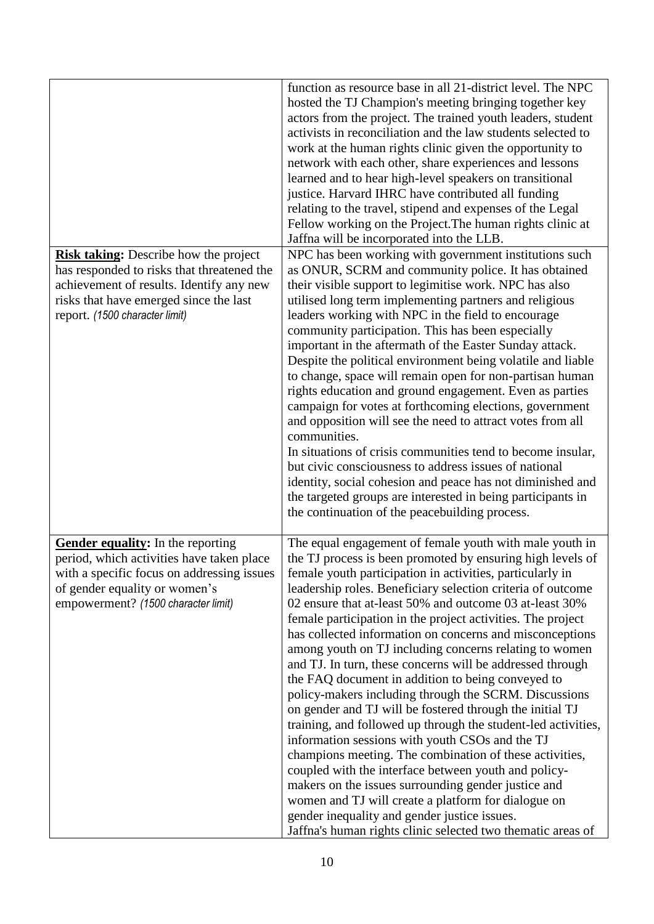|                                                                                                                                                                                                             | function as resource base in all 21-district level. The NPC<br>hosted the TJ Champion's meeting bringing together key<br>actors from the project. The trained youth leaders, student<br>activists in reconciliation and the law students selected to<br>work at the human rights clinic given the opportunity to<br>network with each other, share experiences and lessons<br>learned and to hear high-level speakers on transitional<br>justice. Harvard IHRC have contributed all funding<br>relating to the travel, stipend and expenses of the Legal<br>Fellow working on the Project. The human rights clinic at<br>Jaffna will be incorporated into the LLB.                                                                                                                                                                                                                                                                                                                                                                                                                                                                                                                                           |
|-------------------------------------------------------------------------------------------------------------------------------------------------------------------------------------------------------------|--------------------------------------------------------------------------------------------------------------------------------------------------------------------------------------------------------------------------------------------------------------------------------------------------------------------------------------------------------------------------------------------------------------------------------------------------------------------------------------------------------------------------------------------------------------------------------------------------------------------------------------------------------------------------------------------------------------------------------------------------------------------------------------------------------------------------------------------------------------------------------------------------------------------------------------------------------------------------------------------------------------------------------------------------------------------------------------------------------------------------------------------------------------------------------------------------------------|
| Risk taking: Describe how the project<br>has responded to risks that threatened the<br>achievement of results. Identify any new<br>risks that have emerged since the last<br>report. (1500 character limit) | NPC has been working with government institutions such<br>as ONUR, SCRM and community police. It has obtained<br>their visible support to legimitise work. NPC has also<br>utilised long term implementing partners and religious<br>leaders working with NPC in the field to encourage<br>community participation. This has been especially<br>important in the aftermath of the Easter Sunday attack.<br>Despite the political environment being volatile and liable<br>to change, space will remain open for non-partisan human<br>rights education and ground engagement. Even as parties<br>campaign for votes at forthcoming elections, government<br>and opposition will see the need to attract votes from all<br>communities.<br>In situations of crisis communities tend to become insular,<br>but civic consciousness to address issues of national<br>identity, social cohesion and peace has not diminished and<br>the targeted groups are interested in being participants in<br>the continuation of the peacebuilding process.                                                                                                                                                                |
| <b>Gender equality:</b> In the reporting<br>period, which activities have taken place<br>with a specific focus on addressing issues<br>of gender equality or women's<br>empowerment? (1500 character limit) | The equal engagement of female youth with male youth in<br>the TJ process is been promoted by ensuring high levels of<br>female youth participation in activities, particularly in<br>leadership roles. Beneficiary selection criteria of outcome<br>02 ensure that at-least 50% and outcome 03 at-least 30%<br>female participation in the project activities. The project<br>has collected information on concerns and misconceptions<br>among youth on TJ including concerns relating to women<br>and TJ. In turn, these concerns will be addressed through<br>the FAQ document in addition to being conveyed to<br>policy-makers including through the SCRM. Discussions<br>on gender and TJ will be fostered through the initial TJ<br>training, and followed up through the student-led activities,<br>information sessions with youth CSOs and the TJ<br>champions meeting. The combination of these activities,<br>coupled with the interface between youth and policy-<br>makers on the issues surrounding gender justice and<br>women and TJ will create a platform for dialogue on<br>gender inequality and gender justice issues.<br>Jaffna's human rights clinic selected two thematic areas of |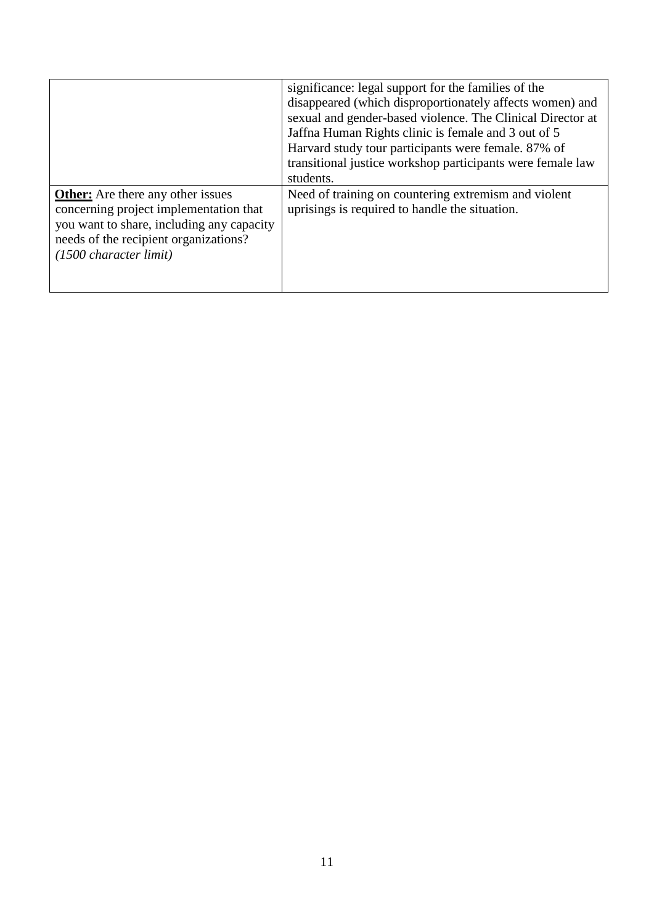|                                                                                                                                                                                                              | significance: legal support for the families of the<br>disappeared (which disproportionately affects women) and<br>sexual and gender-based violence. The Clinical Director at<br>Jaffna Human Rights clinic is female and 3 out of 5<br>Harvard study tour participants were female. 87% of<br>transitional justice workshop participants were female law<br>students. |
|--------------------------------------------------------------------------------------------------------------------------------------------------------------------------------------------------------------|------------------------------------------------------------------------------------------------------------------------------------------------------------------------------------------------------------------------------------------------------------------------------------------------------------------------------------------------------------------------|
| <b>Other:</b> Are there any other issues<br>concerning project implementation that<br>you want to share, including any capacity<br>needs of the recipient organizations?<br>$(1500 \text{ character limit})$ | Need of training on countering extremism and violent<br>uprisings is required to handle the situation.                                                                                                                                                                                                                                                                 |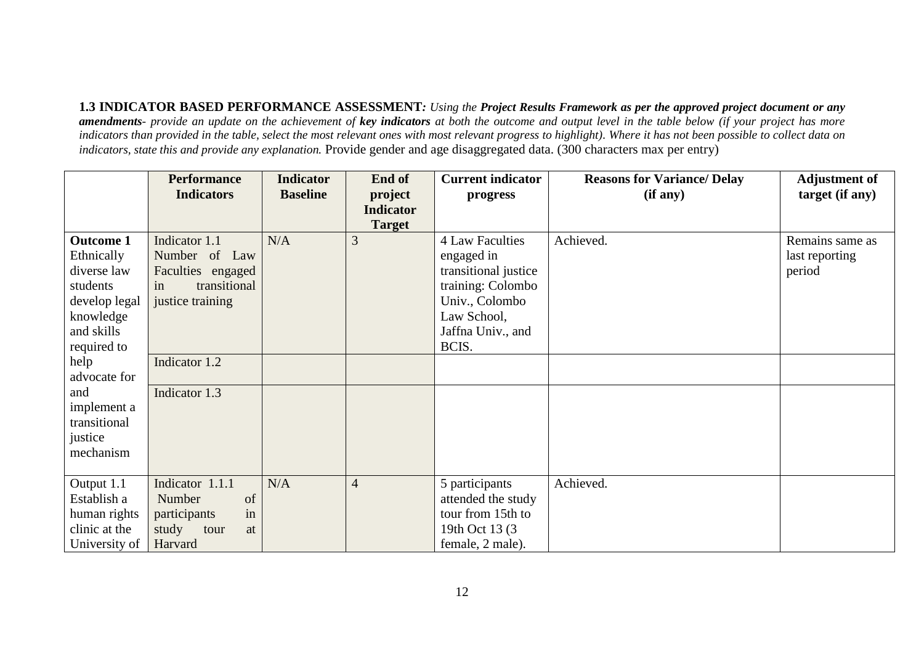**1.3 INDICATOR BASED PERFORMANCE ASSESSMENT***: Using the Project Results Framework as per the approved project document or any amendments- provide an update on the achievement of key indicators at both the outcome and output level in the table below (if your project has more indicators than provided in the table, select the most relevant ones with most relevant progress to highlight). Where it has not been possible to collect data on indicators, state this and provide any explanation.* Provide gender and age disaggregated data. (300 characters max per entry)

|                                                                                                                      | <b>Performance</b><br><b>Indicators</b>                                                       | <b>Indicator</b><br><b>Baseline</b> | End of<br>project                 | <b>Current indicator</b><br>progress                                                                                                             | <b>Reasons for Variance/ Delay</b><br>(if any) | <b>Adjustment of</b><br>target (if any)     |
|----------------------------------------------------------------------------------------------------------------------|-----------------------------------------------------------------------------------------------|-------------------------------------|-----------------------------------|--------------------------------------------------------------------------------------------------------------------------------------------------|------------------------------------------------|---------------------------------------------|
|                                                                                                                      |                                                                                               |                                     | <b>Indicator</b><br><b>Target</b> |                                                                                                                                                  |                                                |                                             |
| <b>Outcome 1</b><br>Ethnically<br>diverse law<br>students<br>develop legal<br>knowledge<br>and skills<br>required to | Indicator 1.1<br>Number of Law<br>Faculties engaged<br>transitional<br>in<br>justice training | N/A                                 | 3                                 | <b>4 Law Faculties</b><br>engaged in<br>transitional justice<br>training: Colombo<br>Univ., Colombo<br>Law School,<br>Jaffna Univ., and<br>BCIS. | Achieved.                                      | Remains same as<br>last reporting<br>period |
| help<br>advocate for                                                                                                 | Indicator 1.2                                                                                 |                                     |                                   |                                                                                                                                                  |                                                |                                             |
| and<br>implement a<br>transitional<br>justice<br>mechanism                                                           | Indicator 1.3                                                                                 |                                     |                                   |                                                                                                                                                  |                                                |                                             |
| Output 1.1<br>Establish a<br>human rights<br>clinic at the<br>University of                                          | Indicator 1.1.1<br>Number<br>of<br>in<br>participants<br>study<br>tour<br>at<br>Harvard       | N/A                                 | $\overline{4}$                    | 5 participants<br>attended the study<br>tour from 15th to<br>19th Oct 13 (3)<br>female, 2 male).                                                 | Achieved.                                      |                                             |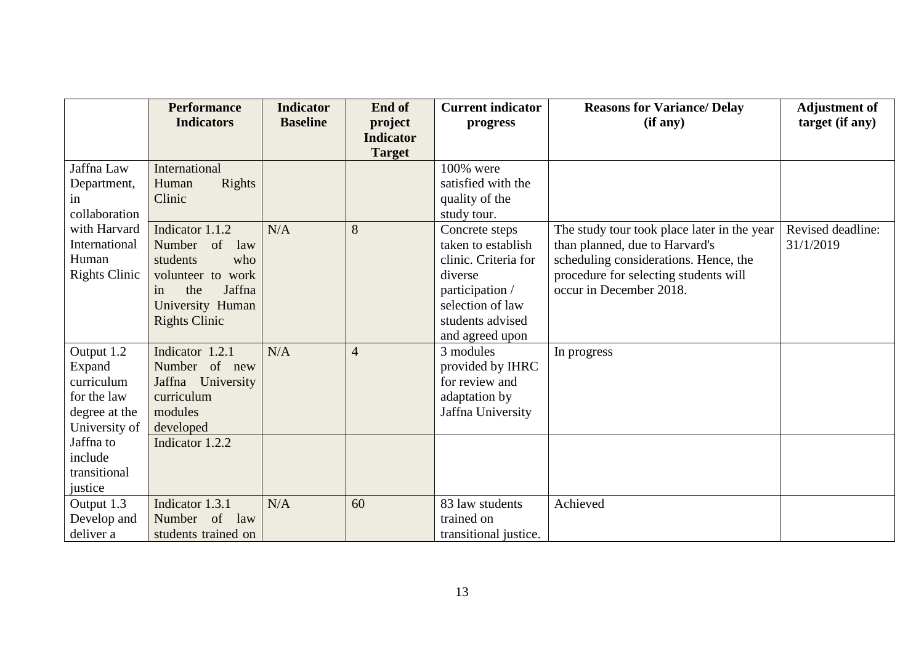|                      | <b>Performance</b>   | <b>Indicator</b> | End of           | <b>Current indicator</b> | <b>Reasons for Variance/ Delay</b>          | <b>Adjustment of</b> |
|----------------------|----------------------|------------------|------------------|--------------------------|---------------------------------------------|----------------------|
|                      | <b>Indicators</b>    | <b>Baseline</b>  | project          | progress                 | (if any)                                    | target (if any)      |
|                      |                      |                  | <b>Indicator</b> |                          |                                             |                      |
|                      |                      |                  | <b>Target</b>    |                          |                                             |                      |
| Jaffna Law           | International        |                  |                  | 100% were                |                                             |                      |
| Department,          | Rights<br>Human      |                  |                  | satisfied with the       |                                             |                      |
| in                   | Clinic               |                  |                  | quality of the           |                                             |                      |
| collaboration        |                      |                  |                  | study tour.              |                                             |                      |
| with Harvard         | Indicator 1.1.2      | N/A              | 8                | Concrete steps           | The study tour took place later in the year | Revised deadline:    |
| International        | Number<br>of<br>law  |                  |                  | taken to establish       | than planned, due to Harvard's              | 31/1/2019            |
| Human                | students<br>who      |                  |                  | clinic. Criteria for     | scheduling considerations. Hence, the       |                      |
| <b>Rights Clinic</b> | volunteer to work    |                  |                  | diverse                  | procedure for selecting students will       |                      |
|                      | the<br>Jaffna<br>in  |                  |                  | participation /          | occur in December 2018.                     |                      |
|                      | University Human     |                  |                  | selection of law         |                                             |                      |
|                      | <b>Rights Clinic</b> |                  |                  | students advised         |                                             |                      |
|                      |                      |                  |                  | and agreed upon          |                                             |                      |
| Output 1.2           | Indicator 1.2.1      | N/A              | $\overline{4}$   | 3 modules                | In progress                                 |                      |
| Expand               | Number of new        |                  |                  | provided by IHRC         |                                             |                      |
| curriculum           | Jaffna University    |                  |                  | for review and           |                                             |                      |
| for the law          | curriculum           |                  |                  | adaptation by            |                                             |                      |
| degree at the        | modules              |                  |                  | Jaffna University        |                                             |                      |
| University of        | developed            |                  |                  |                          |                                             |                      |
| Jaffna to            | Indicator 1.2.2      |                  |                  |                          |                                             |                      |
| include              |                      |                  |                  |                          |                                             |                      |
| transitional         |                      |                  |                  |                          |                                             |                      |
| justice              |                      |                  |                  |                          |                                             |                      |
| Output 1.3           | Indicator 1.3.1      | N/A              | 60               | 83 law students          | Achieved                                    |                      |
| Develop and          | Number of<br>law     |                  |                  | trained on               |                                             |                      |
| deliver a            | students trained on  |                  |                  | transitional justice.    |                                             |                      |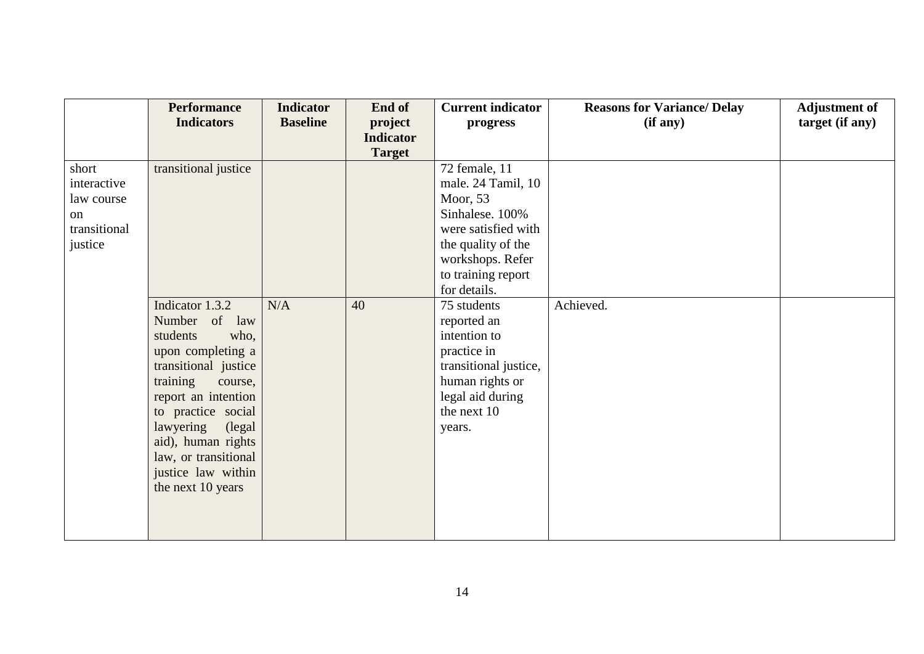|              | <b>Performance</b>   | <b>Indicator</b> | End of           | <b>Current indicator</b> | <b>Reasons for Variance/ Delay</b> | <b>Adjustment of</b> |
|--------------|----------------------|------------------|------------------|--------------------------|------------------------------------|----------------------|
|              | <b>Indicators</b>    | <b>Baseline</b>  | project          | progress                 | (if any)                           | target (if any)      |
|              |                      |                  | <b>Indicator</b> |                          |                                    |                      |
|              |                      |                  | <b>Target</b>    |                          |                                    |                      |
| short        | transitional justice |                  |                  | 72 female, 11            |                                    |                      |
| interactive  |                      |                  |                  | male. 24 Tamil, 10       |                                    |                      |
| law course   |                      |                  |                  | Moor, $53$               |                                    |                      |
| on           |                      |                  |                  | Sinhalese. 100%          |                                    |                      |
| transitional |                      |                  |                  | were satisfied with      |                                    |                      |
| justice      |                      |                  |                  | the quality of the       |                                    |                      |
|              |                      |                  |                  | workshops. Refer         |                                    |                      |
|              |                      |                  |                  | to training report       |                                    |                      |
|              |                      |                  |                  | for details.             |                                    |                      |
|              | Indicator 1.3.2      | N/A              | 40               | 75 students              | Achieved.                          |                      |
|              | Number of<br>law     |                  |                  | reported an              |                                    |                      |
|              | who,<br>students     |                  |                  | intention to             |                                    |                      |
|              | upon completing a    |                  |                  | practice in              |                                    |                      |
|              | transitional justice |                  |                  | transitional justice,    |                                    |                      |
|              | training<br>course,  |                  |                  | human rights or          |                                    |                      |
|              | report an intention  |                  |                  | legal aid during         |                                    |                      |
|              | to practice social   |                  |                  | the next 10              |                                    |                      |
|              | lawyering<br>(legal) |                  |                  | years.                   |                                    |                      |
|              | aid), human rights   |                  |                  |                          |                                    |                      |
|              | law, or transitional |                  |                  |                          |                                    |                      |
|              | justice law within   |                  |                  |                          |                                    |                      |
|              | the next 10 years    |                  |                  |                          |                                    |                      |
|              |                      |                  |                  |                          |                                    |                      |
|              |                      |                  |                  |                          |                                    |                      |
|              |                      |                  |                  |                          |                                    |                      |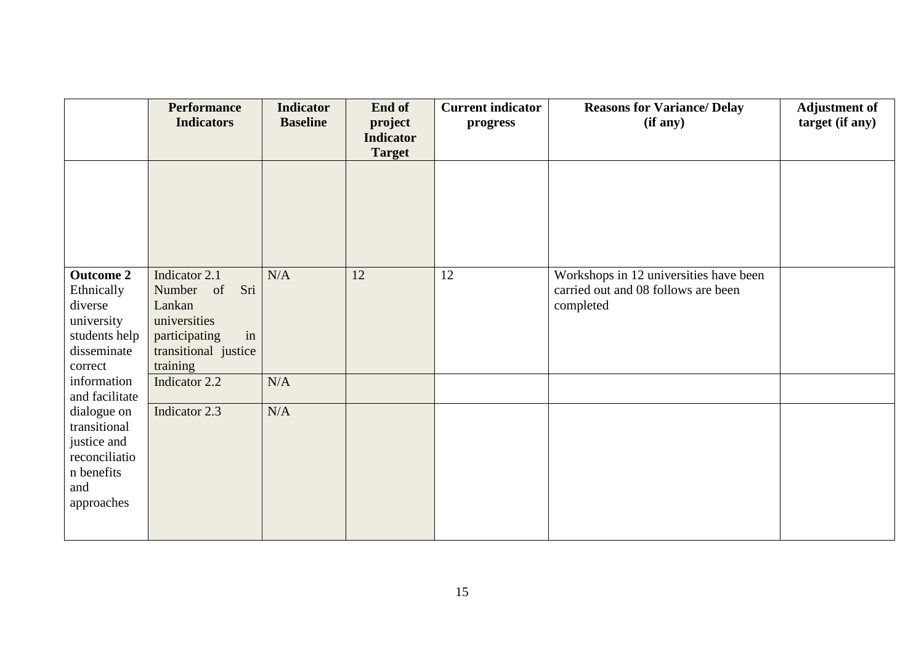|                              | <b>Performance</b><br><b>Indicators</b> | <b>Indicator</b><br><b>Baseline</b> | End of<br>project<br><b>Indicator</b> | <b>Current indicator</b><br>progress | <b>Reasons for Variance/ Delay</b><br>(if any) | <b>Adjustment of</b><br>target (if any) |
|------------------------------|-----------------------------------------|-------------------------------------|---------------------------------------|--------------------------------------|------------------------------------------------|-----------------------------------------|
|                              |                                         |                                     | <b>Target</b>                         |                                      |                                                |                                         |
|                              |                                         |                                     |                                       |                                      |                                                |                                         |
|                              |                                         |                                     |                                       |                                      |                                                |                                         |
|                              |                                         |                                     |                                       |                                      |                                                |                                         |
|                              |                                         |                                     |                                       |                                      |                                                |                                         |
| <b>Outcome 2</b>             | Indicator 2.1                           | N/A                                 | 12                                    | 12                                   | Workshops in 12 universities have been         |                                         |
| Ethnically                   | Sri<br>Number of                        |                                     |                                       |                                      | carried out and 08 follows are been            |                                         |
| diverse<br>university        | Lankan<br>universities                  |                                     |                                       |                                      | completed                                      |                                         |
| students help                | participating<br>in                     |                                     |                                       |                                      |                                                |                                         |
| disseminate                  | transitional justice                    |                                     |                                       |                                      |                                                |                                         |
| correct                      | training                                |                                     |                                       |                                      |                                                |                                         |
| information                  | Indicator 2.2                           | N/A                                 |                                       |                                      |                                                |                                         |
| and facilitate               |                                         |                                     |                                       |                                      |                                                |                                         |
| dialogue on                  | Indicator 2.3                           | N/A                                 |                                       |                                      |                                                |                                         |
| transitional                 |                                         |                                     |                                       |                                      |                                                |                                         |
| justice and<br>reconciliatio |                                         |                                     |                                       |                                      |                                                |                                         |
| n benefits                   |                                         |                                     |                                       |                                      |                                                |                                         |
| and                          |                                         |                                     |                                       |                                      |                                                |                                         |
| approaches                   |                                         |                                     |                                       |                                      |                                                |                                         |
|                              |                                         |                                     |                                       |                                      |                                                |                                         |
|                              |                                         |                                     |                                       |                                      |                                                |                                         |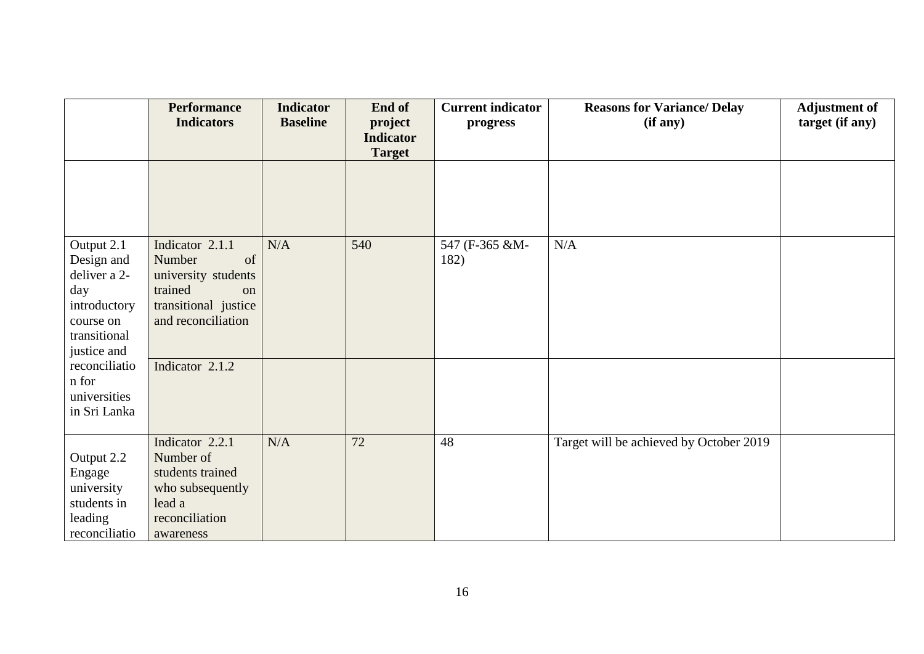|                              | <b>Performance</b><br><b>Indicators</b>          | <b>Indicator</b><br><b>Baseline</b> | End of<br>project<br><b>Indicator</b> | <b>Current indicator</b><br>progress | <b>Reasons for Variance/ Delay</b><br>(if any) | <b>Adjustment of</b><br>target (if any) |
|------------------------------|--------------------------------------------------|-------------------------------------|---------------------------------------|--------------------------------------|------------------------------------------------|-----------------------------------------|
|                              |                                                  |                                     | <b>Target</b>                         |                                      |                                                |                                         |
|                              |                                                  |                                     |                                       |                                      |                                                |                                         |
| Output 2.1                   | Indicator 2.1.1                                  | N/A                                 | 540                                   | 547 (F-365 &M-                       | N/A                                            |                                         |
| Design and                   | Number<br>of                                     |                                     |                                       | 182)                                 |                                                |                                         |
| deliver a 2-                 | university students                              |                                     |                                       |                                      |                                                |                                         |
| day<br>introductory          | trained<br><sub>on</sub><br>transitional justice |                                     |                                       |                                      |                                                |                                         |
| course on                    | and reconciliation                               |                                     |                                       |                                      |                                                |                                         |
| transitional                 |                                                  |                                     |                                       |                                      |                                                |                                         |
| justice and                  |                                                  |                                     |                                       |                                      |                                                |                                         |
| reconciliatio                | Indicator 2.1.2                                  |                                     |                                       |                                      |                                                |                                         |
| n for                        |                                                  |                                     |                                       |                                      |                                                |                                         |
| universities<br>in Sri Lanka |                                                  |                                     |                                       |                                      |                                                |                                         |
|                              |                                                  |                                     |                                       |                                      |                                                |                                         |
|                              | Indicator 2.2.1                                  | N/A                                 | 72                                    | 48                                   | Target will be achieved by October 2019        |                                         |
| Output 2.2                   | Number of                                        |                                     |                                       |                                      |                                                |                                         |
| Engage                       | students trained                                 |                                     |                                       |                                      |                                                |                                         |
| university                   | who subsequently                                 |                                     |                                       |                                      |                                                |                                         |
| students in                  | lead a                                           |                                     |                                       |                                      |                                                |                                         |
| leading                      | reconciliation                                   |                                     |                                       |                                      |                                                |                                         |
| reconciliatio                | awareness                                        |                                     |                                       |                                      |                                                |                                         |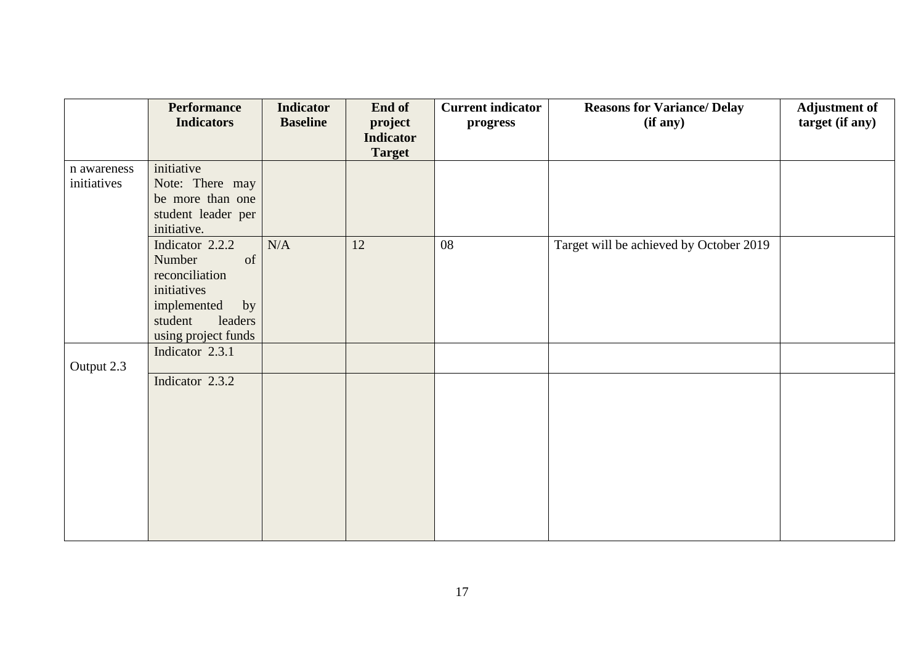|             | <b>Performance</b>         | <b>Indicator</b> | End of           | <b>Current indicator</b> | <b>Reasons for Variance/ Delay</b>      | <b>Adjustment of</b> |
|-------------|----------------------------|------------------|------------------|--------------------------|-----------------------------------------|----------------------|
|             | <b>Indicators</b>          | <b>Baseline</b>  | project          | progress                 | (if any)                                | target (if any)      |
|             |                            |                  | <b>Indicator</b> |                          |                                         |                      |
|             |                            |                  | <b>Target</b>    |                          |                                         |                      |
| n awareness | initiative                 |                  |                  |                          |                                         |                      |
| initiatives | Note: There may            |                  |                  |                          |                                         |                      |
|             | be more than one           |                  |                  |                          |                                         |                      |
|             | student leader per         |                  |                  |                          |                                         |                      |
|             | initiative.                |                  |                  |                          |                                         |                      |
|             | Indicator 2.2.2            | N/A              | 12               | 08                       | Target will be achieved by October 2019 |                      |
|             | Number<br>of               |                  |                  |                          |                                         |                      |
|             | reconciliation             |                  |                  |                          |                                         |                      |
|             | initiatives<br>implemented |                  |                  |                          |                                         |                      |
|             | by<br>leaders<br>student   |                  |                  |                          |                                         |                      |
|             | using project funds        |                  |                  |                          |                                         |                      |
|             | Indicator 2.3.1            |                  |                  |                          |                                         |                      |
| Output 2.3  |                            |                  |                  |                          |                                         |                      |
|             | Indicator 2.3.2            |                  |                  |                          |                                         |                      |
|             |                            |                  |                  |                          |                                         |                      |
|             |                            |                  |                  |                          |                                         |                      |
|             |                            |                  |                  |                          |                                         |                      |
|             |                            |                  |                  |                          |                                         |                      |
|             |                            |                  |                  |                          |                                         |                      |
|             |                            |                  |                  |                          |                                         |                      |
|             |                            |                  |                  |                          |                                         |                      |
|             |                            |                  |                  |                          |                                         |                      |
|             |                            |                  |                  |                          |                                         |                      |
|             |                            |                  |                  |                          |                                         |                      |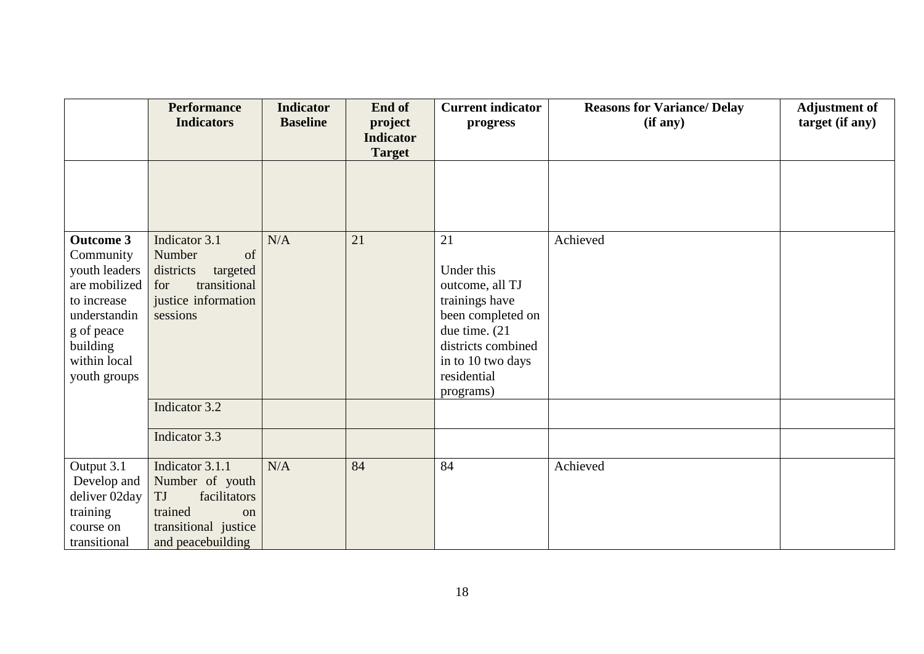|                             | <b>Performance</b>              | <b>Indicator</b> | End of                            | <b>Current indicator</b>            | <b>Reasons for Variance/ Delay</b> | <b>Adjustment of</b> |
|-----------------------------|---------------------------------|------------------|-----------------------------------|-------------------------------------|------------------------------------|----------------------|
|                             | <b>Indicators</b>               | <b>Baseline</b>  | project                           | progress                            | (if any)                           | target (if any)      |
|                             |                                 |                  | <b>Indicator</b><br><b>Target</b> |                                     |                                    |                      |
|                             |                                 |                  |                                   |                                     |                                    |                      |
|                             |                                 |                  |                                   |                                     |                                    |                      |
|                             |                                 |                  |                                   |                                     |                                    |                      |
|                             |                                 |                  |                                   |                                     |                                    |                      |
| <b>Outcome 3</b>            | Indicator 3.1                   | N/A              | 21                                | 21                                  | Achieved                           |                      |
| Community                   | of<br>Number                    |                  |                                   |                                     |                                    |                      |
| youth leaders               | districts<br>targeted           |                  |                                   | Under this                          |                                    |                      |
| are mobilized               | transitional<br>for             |                  |                                   | outcome, all TJ                     |                                    |                      |
| to increase<br>understandin | justice information<br>sessions |                  |                                   | trainings have<br>been completed on |                                    |                      |
| g of peace                  |                                 |                  |                                   | due time. (21                       |                                    |                      |
| building                    |                                 |                  |                                   | districts combined                  |                                    |                      |
| within local                |                                 |                  |                                   | in to 10 two days                   |                                    |                      |
| youth groups                |                                 |                  |                                   | residential                         |                                    |                      |
|                             |                                 |                  |                                   | programs)                           |                                    |                      |
|                             | Indicator 3.2                   |                  |                                   |                                     |                                    |                      |
|                             | Indicator 3.3                   |                  |                                   |                                     |                                    |                      |
|                             |                                 |                  |                                   |                                     |                                    |                      |
| Output 3.1                  | Indicator 3.1.1                 | N/A              | 84                                | 84                                  | Achieved                           |                      |
| Develop and                 | Number of youth                 |                  |                                   |                                     |                                    |                      |
| deliver 02day               | facilitators<br>TJ              |                  |                                   |                                     |                                    |                      |
| training                    | trained<br>on                   |                  |                                   |                                     |                                    |                      |
| course on                   | transitional justice            |                  |                                   |                                     |                                    |                      |
| transitional                | and peacebuilding               |                  |                                   |                                     |                                    |                      |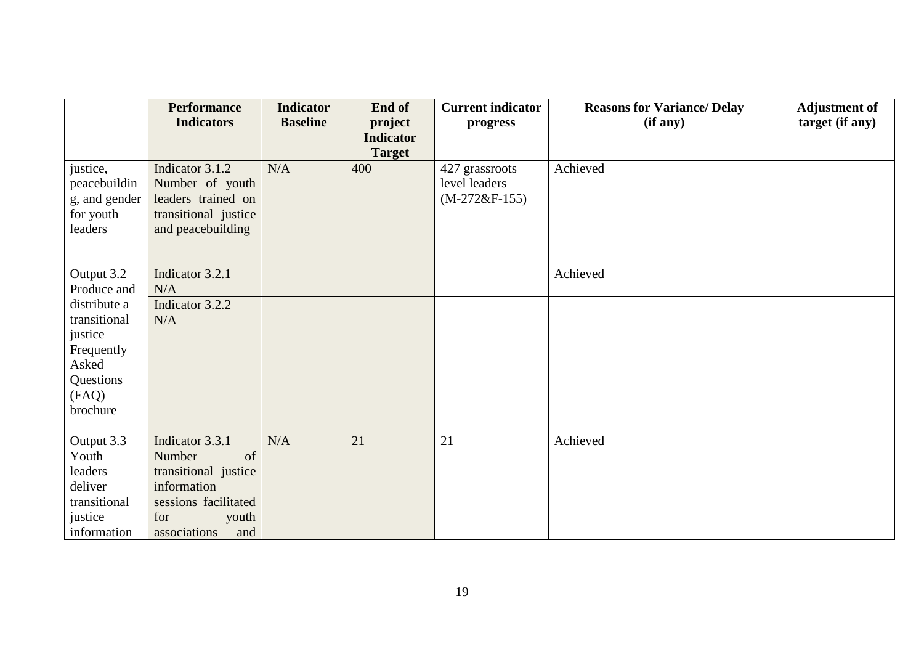|                      | <b>Performance</b><br><b>Indicators</b> | <b>Indicator</b><br><b>Baseline</b> | End of<br>project | <b>Current indicator</b> | <b>Reasons for Variance/ Delay</b><br>(if any) | <b>Adjustment of</b><br>target (if any) |
|----------------------|-----------------------------------------|-------------------------------------|-------------------|--------------------------|------------------------------------------------|-----------------------------------------|
|                      |                                         |                                     | <b>Indicator</b>  | progress                 |                                                |                                         |
|                      |                                         |                                     | <b>Target</b>     |                          |                                                |                                         |
| justice,             | Indicator 3.1.2                         | N/A                                 | 400               | 427 grassroots           | Achieved                                       |                                         |
| peacebuildin         | Number of youth                         |                                     |                   | level leaders            |                                                |                                         |
| g, and gender        | leaders trained on                      |                                     |                   | $(M-272&F-155)$          |                                                |                                         |
| for youth<br>leaders | transitional justice                    |                                     |                   |                          |                                                |                                         |
|                      | and peacebuilding                       |                                     |                   |                          |                                                |                                         |
|                      |                                         |                                     |                   |                          |                                                |                                         |
| Output 3.2           | Indicator 3.2.1                         |                                     |                   |                          | Achieved                                       |                                         |
| Produce and          | N/A                                     |                                     |                   |                          |                                                |                                         |
| distribute a         | Indicator 3.2.2                         |                                     |                   |                          |                                                |                                         |
| transitional         | N/A                                     |                                     |                   |                          |                                                |                                         |
| justice              |                                         |                                     |                   |                          |                                                |                                         |
| Frequently           |                                         |                                     |                   |                          |                                                |                                         |
| Asked                |                                         |                                     |                   |                          |                                                |                                         |
| Questions<br>(FAQ)   |                                         |                                     |                   |                          |                                                |                                         |
| brochure             |                                         |                                     |                   |                          |                                                |                                         |
|                      |                                         |                                     |                   |                          |                                                |                                         |
| Output 3.3           | Indicator 3.3.1                         | N/A                                 | 21                | 21                       | Achieved                                       |                                         |
| Youth                | Number<br>of                            |                                     |                   |                          |                                                |                                         |
| leaders              | transitional justice                    |                                     |                   |                          |                                                |                                         |
| deliver              | information                             |                                     |                   |                          |                                                |                                         |
| transitional         | sessions facilitated                    |                                     |                   |                          |                                                |                                         |
| justice              | for<br>youth                            |                                     |                   |                          |                                                |                                         |
| information          | associations<br>and                     |                                     |                   |                          |                                                |                                         |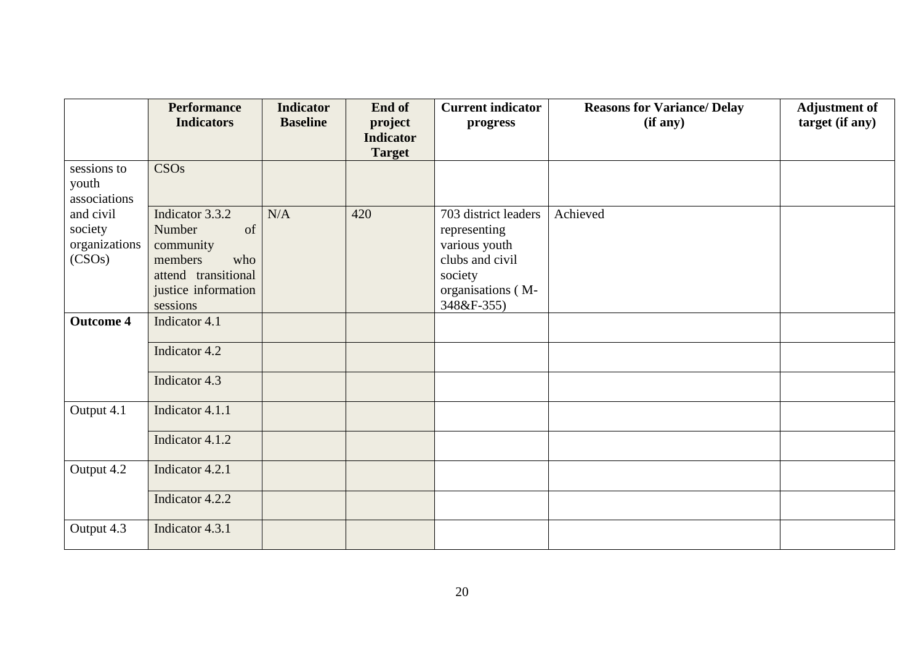|                  | <b>Performance</b>  | <b>Indicator</b> | End of           | <b>Current indicator</b> | <b>Reasons for Variance/ Delay</b> | <b>Adjustment of</b> |
|------------------|---------------------|------------------|------------------|--------------------------|------------------------------------|----------------------|
|                  | <b>Indicators</b>   | <b>Baseline</b>  | project          | progress                 | (if any)                           | target (if any)      |
|                  |                     |                  | <b>Indicator</b> |                          |                                    |                      |
|                  |                     |                  | <b>Target</b>    |                          |                                    |                      |
| sessions to      | <b>CSOs</b>         |                  |                  |                          |                                    |                      |
| youth            |                     |                  |                  |                          |                                    |                      |
| associations     |                     |                  |                  |                          |                                    |                      |
| and civil        | Indicator 3.3.2     | N/A              | 420              | 703 district leaders     | Achieved                           |                      |
| society          | of<br>Number        |                  |                  | representing             |                                    |                      |
| organizations    | community           |                  |                  | various youth            |                                    |                      |
| (CSOs)           | members<br>who      |                  |                  | clubs and civil          |                                    |                      |
|                  | attend transitional |                  |                  | society                  |                                    |                      |
|                  | justice information |                  |                  | organisations (M-        |                                    |                      |
|                  | sessions            |                  |                  | 348&F-355)               |                                    |                      |
| <b>Outcome 4</b> | Indicator 4.1       |                  |                  |                          |                                    |                      |
|                  | Indicator 4.2       |                  |                  |                          |                                    |                      |
|                  |                     |                  |                  |                          |                                    |                      |
|                  | Indicator 4.3       |                  |                  |                          |                                    |                      |
|                  |                     |                  |                  |                          |                                    |                      |
| Output 4.1       | Indicator 4.1.1     |                  |                  |                          |                                    |                      |
|                  | Indicator 4.1.2     |                  |                  |                          |                                    |                      |
|                  |                     |                  |                  |                          |                                    |                      |
| Output 4.2       | Indicator 4.2.1     |                  |                  |                          |                                    |                      |
|                  | Indicator 4.2.2     |                  |                  |                          |                                    |                      |
|                  |                     |                  |                  |                          |                                    |                      |
| Output 4.3       | Indicator 4.3.1     |                  |                  |                          |                                    |                      |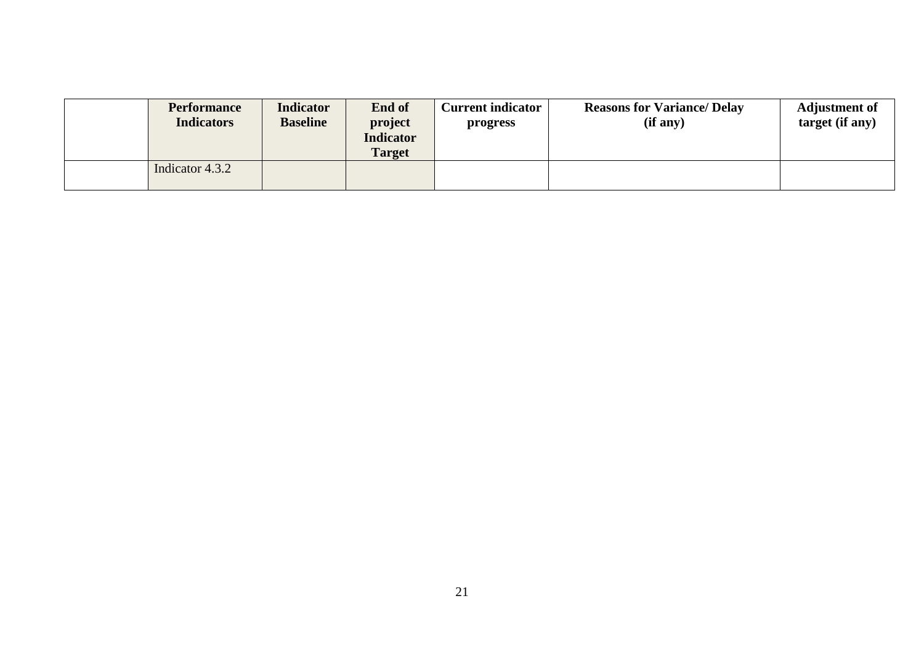| <b>Performance</b><br><b>Indicators</b> | <b>Indicator</b><br><b>Baseline</b> | End of<br>project<br><b>Indicator</b><br>Target | <b>Current indicator</b><br>progress | <b>Reasons for Variance/ Delay</b><br>(if any) | <b>Adjustment of</b><br>target (if any) |
|-----------------------------------------|-------------------------------------|-------------------------------------------------|--------------------------------------|------------------------------------------------|-----------------------------------------|
| Indicator 4.3.2                         |                                     |                                                 |                                      |                                                |                                         |